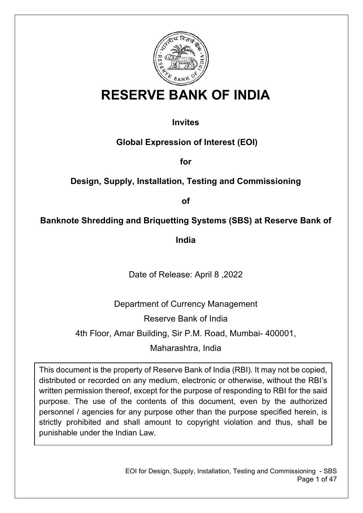

# **RESERVE BANK OF INDIA**

## **Invites**

**Global Expression of Interest (EOI)**

**for**

## **Design, Supply, Installation, Testing and Commissioning**

**of**

## **Banknote Shredding and Briquetting Systems (SBS) at Reserve Bank of**

**India**

Date of Release: April 8 ,2022

Department of Currency Management Reserve Bank of India 4th Floor, Amar Building, Sir P.M. Road, Mumbai- 400001, Maharashtra, India

This document is the property of Reserve Bank of India (RBI). It may not be copied, distributed or recorded on any medium, electronic or otherwise, without the RBI's written permission thereof, except for the purpose of responding to RBI for the said purpose. The use of the contents of this document, even by the authorized personnel / agencies for any purpose other than the purpose specified herein, is strictly prohibited and shall amount to copyright violation and thus, shall be punishable under the Indian Law.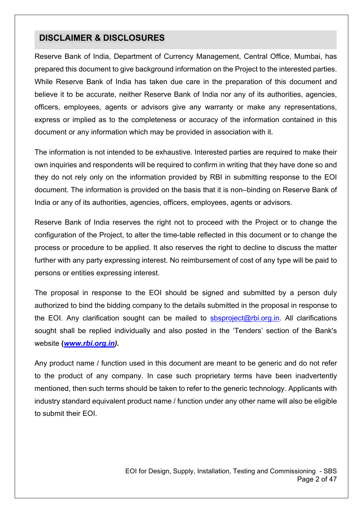### **DISCLAIMER & DISCLOSURES**

Reserve Bank of India, Department of Currency Management, Central Office, Mumbai, has prepared this document to give background information on the Project to the interested parties. While Reserve Bank of India has taken due care in the preparation of this document and believe it to be accurate, neither Reserve Bank of India nor any of its authorities, agencies, officers, employees, agents or advisors give any warranty or make any representations, express or implied as to the completeness or accuracy of the information contained in this document or any information which may be provided in association with it.

The information is not intended to be exhaustive. Interested parties are required to make their own inquiries and respondents will be required to confirm in writing that they have done so and they do not rely only on the information provided by RBI in submitting response to the EOI document. The information is provided on the basis that it is non–binding on Reserve Bank of India or any of its authorities, agencies, officers, employees, agents or advisors.

Reserve Bank of India reserves the right not to proceed with the Project or to change the configuration of the Project, to alter the time-table reflected in this document or to change the process or procedure to be applied. It also reserves the right to decline to discuss the matter further with any party expressing interest. No reimbursement of cost of any type will be paid to persons or entities expressing interest.

The proposal in response to the EOI should be signed and submitted by a person duly authorized to bind the bidding company to the details submitted in the proposal in response to the EOI. Any clarification sought can be mailed to [sbsproject@rbi.org.in.](mailto:sbsproject@rbi.org.in) All clarifications sought shall be replied individually and also posted in the 'Tenders' section of the Bank's website **(***[www.rbi.org.in\)](https://www.rbi.org.in/).*

Any product name / function used in this document are meant to be generic and do not refer to the product of any company. In case such proprietary terms have been inadvertently mentioned, then such terms should be taken to refer to the generic technology. Applicants with industry standard equivalent product name / function under any other name will also be eligible to submit their EOI.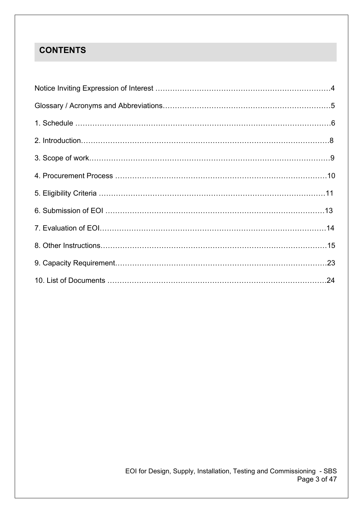## **CONTENTS**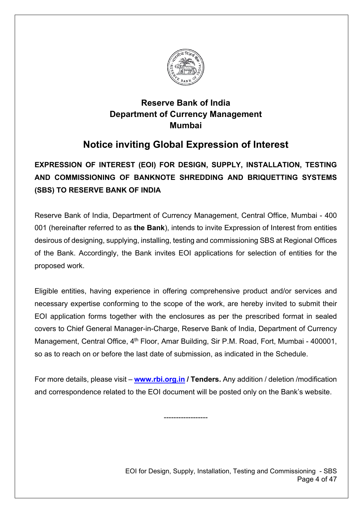

## **Reserve Bank of India Department of Currency Management Mumbai**

## **Notice inviting Global Expression of Interest**

## **EXPRESSION OF INTEREST (EOI) FOR DESIGN, SUPPLY, INSTALLATION, TESTING AND COMMISSIONING OF BANKNOTE SHREDDING AND BRIQUETTING SYSTEMS (SBS) TO RESERVE BANK OF INDIA**

Reserve Bank of India, Department of Currency Management, Central Office, Mumbai - 400 001 (hereinafter referred to as **the Bank**), intends to invite Expression of Interest from entities desirous of designing, supplying, installing, testing and commissioning SBS at Regional Offices of the Bank. Accordingly, the Bank invites EOI applications for selection of entities for the proposed work.

Eligible entities, having experience in offering comprehensive product and/or services and necessary expertise conforming to the scope of the work, are hereby invited to submit their EOI application forms together with the enclosures as per the prescribed format in sealed covers to Chief General Manager-in-Charge, Reserve Bank of India, Department of Currency Management, Central Office, 4<sup>th</sup> Floor, Amar Building, Sir P.M. Road, Fort, Mumbai - 400001, so as to reach on or before the last date of submission, as indicated in the Schedule.

For more details, please visit – **[www.rbi.org.in](https://www.rbi.org.in/) / Tenders.** Any addition / deletion /modification and correspondence related to the EOI document will be posted only on the Bank's website.

------------------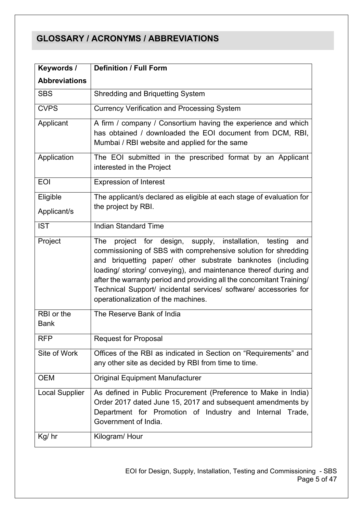## **GLOSSARY / ACRONYMS / ABBREVIATIONS**

| Keywords /                | <b>Definition / Full Form</b>                                                                                                                                                                                                                                                                                                                                                                                                                                   |  |  |  |
|---------------------------|-----------------------------------------------------------------------------------------------------------------------------------------------------------------------------------------------------------------------------------------------------------------------------------------------------------------------------------------------------------------------------------------------------------------------------------------------------------------|--|--|--|
| <b>Abbreviations</b>      |                                                                                                                                                                                                                                                                                                                                                                                                                                                                 |  |  |  |
| <b>SBS</b>                | <b>Shredding and Briquetting System</b>                                                                                                                                                                                                                                                                                                                                                                                                                         |  |  |  |
| <b>CVPS</b>               | <b>Currency Verification and Processing System</b>                                                                                                                                                                                                                                                                                                                                                                                                              |  |  |  |
| Applicant                 | A firm / company / Consortium having the experience and which<br>has obtained / downloaded the EOI document from DCM, RBI,<br>Mumbai / RBI website and applied for the same                                                                                                                                                                                                                                                                                     |  |  |  |
| Application               | The EOI submitted in the prescribed format by an Applicant<br>interested in the Project                                                                                                                                                                                                                                                                                                                                                                         |  |  |  |
| <b>EOI</b>                | <b>Expression of Interest</b>                                                                                                                                                                                                                                                                                                                                                                                                                                   |  |  |  |
| Eligible<br>Applicant/s   | The applicant/s declared as eligible at each stage of evaluation for<br>the project by RBI.                                                                                                                                                                                                                                                                                                                                                                     |  |  |  |
| <b>IST</b>                | <b>Indian Standard Time</b>                                                                                                                                                                                                                                                                                                                                                                                                                                     |  |  |  |
| Project                   | project for design, supply, installation,<br>The<br>testing<br>and<br>commissioning of SBS with comprehensive solution for shredding<br>briquetting paper/ other substrate banknotes (including<br>and<br>loading/ storing/ conveying), and maintenance thereof during and<br>after the warranty period and providing all the concomitant Training/<br>Technical Support/ incidental services/ software/ accessories for<br>operationalization of the machines. |  |  |  |
| RBI or the<br><b>Bank</b> | The Reserve Bank of India                                                                                                                                                                                                                                                                                                                                                                                                                                       |  |  |  |
| <b>RFP</b>                | <b>Request for Proposal</b>                                                                                                                                                                                                                                                                                                                                                                                                                                     |  |  |  |
| Site of Work              | Offices of the RBI as indicated in Section on "Requirements" and<br>any other site as decided by RBI from time to time.                                                                                                                                                                                                                                                                                                                                         |  |  |  |
| <b>OEM</b>                | <b>Original Equipment Manufacturer</b>                                                                                                                                                                                                                                                                                                                                                                                                                          |  |  |  |
| <b>Local Supplier</b>     | As defined in Public Procurement (Preference to Make in India)<br>Order 2017 dated June 15, 2017 and subsequent amendments by<br>Department for Promotion of Industry and<br>Internal Trade,<br>Government of India.                                                                                                                                                                                                                                            |  |  |  |
| Kg/hr                     | Kilogram/Hour                                                                                                                                                                                                                                                                                                                                                                                                                                                   |  |  |  |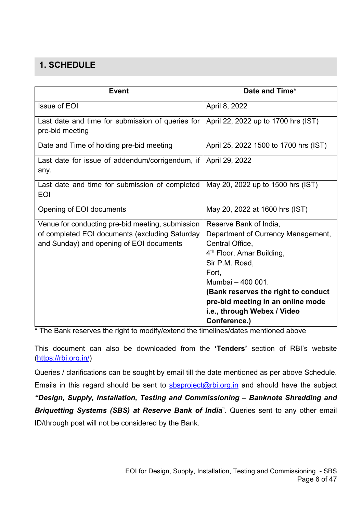## **1. SCHEDULE**

| <b>Event</b>                                     | Date and Time*                        |
|--------------------------------------------------|---------------------------------------|
| <b>Issue of EOI</b>                              | April 8, 2022                         |
| Last date and time for submission of queries for | April 22, 2022 up to 1700 hrs (IST)   |
| pre-bid meeting                                  |                                       |
| Date and Time of holding pre-bid meeting         | April 25, 2022 1500 to 1700 hrs (IST) |
| Last date for issue of addendum/corrigendum, if  | April 29, 2022                        |
| any.                                             |                                       |
| Last date and time for submission of completed   | May 20, 2022 up to 1500 hrs (IST)     |
| <b>EOI</b>                                       |                                       |
| Opening of EOI documents                         | May 20, 2022 at 1600 hrs (IST)        |
| Venue for conducting pre-bid meeting, submission | Reserve Bank of India,                |
| of completed EOI documents (excluding Saturday   | Department of Currency Management,    |
| and Sunday) and opening of EOI documents         | Central Office,                       |
|                                                  | 4 <sup>th</sup> Floor, Amar Building, |
|                                                  | Sir P.M. Road,                        |
|                                                  | Fort.                                 |
|                                                  | Mumbai - 400 001.                     |
|                                                  | (Bank reserves the right to conduct   |
|                                                  | pre-bid meeting in an online mode     |
|                                                  | i.e., through Webex / Video           |
|                                                  | Conference.)                          |

\* The Bank reserves the right to modify/extend the timelines/dates mentioned above

This document can also be downloaded from the **'Tenders'** section of RBI's website [\(https://rbi.org.in/\)](https://rbi.org.in/)

Queries / clarifications can be sought by email till the date mentioned as per above Schedule. Emails in this regard should be sent to  $sbsproject@rbi.org.in$  and should have the subject *"Design, Supply, Installation, Testing and Commissioning – Banknote Shredding and Briquetting Systems (SBS) at Reserve Bank of India*". Queries sent to any other email ID/through post will not be considered by the Bank.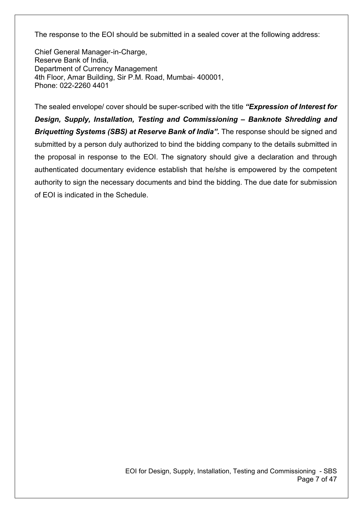The response to the EOI should be submitted in a sealed cover at the following address:

Chief General Manager-in-Charge, Reserve Bank of India, Department of Currency Management 4th Floor, Amar Building, Sir P.M. Road, Mumbai- 400001, Phone: 022-2260 4401

The sealed envelope/ cover should be super-scribed with the title *"Expression of Interest for Design, Supply, Installation, Testing and Commissioning – Banknote Shredding and Briquetting Systems (SBS) at Reserve Bank of India".* The response should be signed and submitted by a person duly authorized to bind the bidding company to the details submitted in the proposal in response to the EOI. The signatory should give a declaration and through authenticated documentary evidence establish that he/she is empowered by the competent authority to sign the necessary documents and bind the bidding. The due date for submission of EOI is indicated in the Schedule.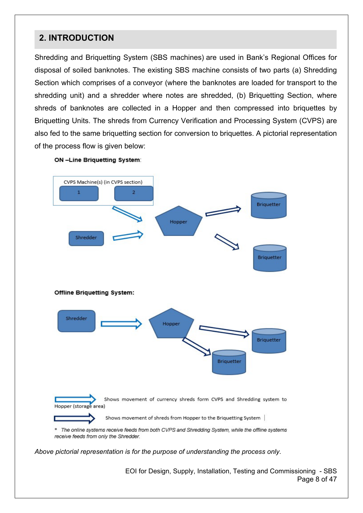## **2. INTRODUCTION**

Shredding and Briquetting System (SBS machines) are used in Bank's Regional Offices for disposal of soiled banknotes. The existing SBS machine consists of two parts (a) Shredding Section which comprises of a conveyor (where the banknotes are loaded for transport to the shredding unit) and a shredder where notes are shredded, (b) Briquetting Section, where shreds of banknotes are collected in a Hopper and then compressed into briquettes by Briquetting Units. The shreds from Currency Verification and Processing System (CVPS) are also fed to the same briquetting section for conversion to briquettes. A pictorial representation of the process flow is given below:





*Above pictorial representation is for the purpose of understanding the process only.*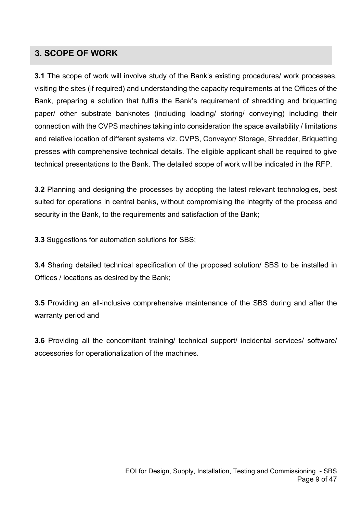### **3. SCOPE OF WORK**

**3.1** The scope of work will involve study of the Bank's existing procedures/ work processes, visiting the sites (if required) and understanding the capacity requirements at the Offices of the Bank, preparing a solution that fulfils the Bank's requirement of shredding and briquetting paper/ other substrate banknotes (including loading/ storing/ conveying) including their connection with the CVPS machines taking into consideration the space availability / limitations and relative location of different systems viz. CVPS, Conveyor/ Storage, Shredder, Briquetting presses with comprehensive technical details. The eligible applicant shall be required to give technical presentations to the Bank. The detailed scope of work will be indicated in the RFP.

**3.2** Planning and designing the processes by adopting the latest relevant technologies, best suited for operations in central banks, without compromising the integrity of the process and security in the Bank, to the requirements and satisfaction of the Bank;

**3.3** Suggestions for automation solutions for SBS;

**3.4** Sharing detailed technical specification of the proposed solution/ SBS to be installed in Offices / locations as desired by the Bank;

**3.5** Providing an all-inclusive comprehensive maintenance of the SBS during and after the warranty period and

**3.6** Providing all the concomitant training/ technical support/ incidental services/ software/ accessories for operationalization of the machines.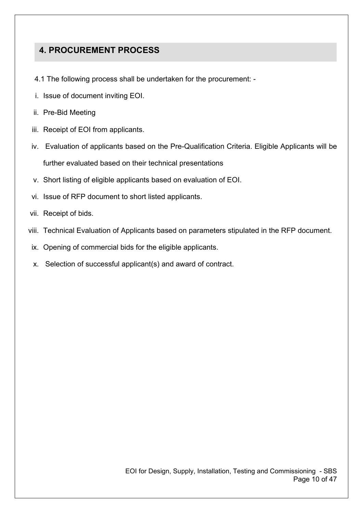## **4. PROCUREMENT PROCESS**

- 4.1 The following process shall be undertaken for the procurement: -
- i. Issue of document inviting EOI.
- ii. Pre-Bid Meeting
- iii. Receipt of EOI from applicants.
- iv. Evaluation of applicants based on the Pre-Qualification Criteria. Eligible Applicants will be further evaluated based on their technical presentations
- v. Short listing of eligible applicants based on evaluation of EOI.
- vi. Issue of RFP document to short listed applicants.
- vii. Receipt of bids.
- viii. Technical Evaluation of Applicants based on parameters stipulated in the RFP document.
- ix. Opening of commercial bids for the eligible applicants.
- x. Selection of successful applicant(s) and award of contract.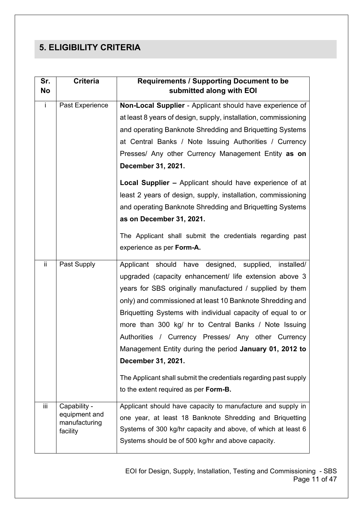## **5. ELIGIBILITY CRITERIA**

| Sr.<br>No    | <b>Criteria</b>                | <b>Requirements / Supporting Document to be</b><br>submitted along with EOI |  |  |  |
|--------------|--------------------------------|-----------------------------------------------------------------------------|--|--|--|
| $\mathbf{i}$ | Past Experience                | Non-Local Supplier - Applicant should have experience of                    |  |  |  |
|              |                                | at least 8 years of design, supply, installation, commissioning             |  |  |  |
|              |                                | and operating Banknote Shredding and Briquetting Systems                    |  |  |  |
|              |                                | at Central Banks / Note Issuing Authorities / Currency                      |  |  |  |
|              |                                | Presses/ Any other Currency Management Entity as on                         |  |  |  |
|              |                                | December 31, 2021.                                                          |  |  |  |
|              |                                | Local Supplier - Applicant should have experience of at                     |  |  |  |
|              |                                | least 2 years of design, supply, installation, commissioning                |  |  |  |
|              |                                | and operating Banknote Shredding and Briquetting Systems                    |  |  |  |
|              |                                | as on December 31, 2021.                                                    |  |  |  |
|              |                                | The Applicant shall submit the credentials regarding past                   |  |  |  |
|              |                                | experience as per Form-A.                                                   |  |  |  |
| ii.          | Past Supply                    | Applicant should have designed, supplied, installed/                        |  |  |  |
|              |                                | upgraded (capacity enhancement/ life extension above 3                      |  |  |  |
|              |                                | years for SBS originally manufactured / supplied by them                    |  |  |  |
|              |                                | only) and commissioned at least 10 Banknote Shredding and                   |  |  |  |
|              |                                | Briquetting Systems with individual capacity of equal to or                 |  |  |  |
|              |                                | more than 300 kg/ hr to Central Banks / Note Issuing                        |  |  |  |
|              |                                | Authorities / Currency Presses/ Any other Currency                          |  |  |  |
|              |                                | Management Entity during the period January 01, 2012 to                     |  |  |  |
|              |                                | December 31, 2021.                                                          |  |  |  |
|              |                                | The Applicant shall submit the credentials regarding past supply            |  |  |  |
|              |                                | to the extent required as per Form-B.                                       |  |  |  |
| iii          | Capability -                   | Applicant should have capacity to manufacture and supply in                 |  |  |  |
|              | equipment and<br>manufacturing | one year, at least 18 Banknote Shredding and Briquetting                    |  |  |  |
|              | facility                       | Systems of 300 kg/hr capacity and above, of which at least 6                |  |  |  |
|              |                                | Systems should be of 500 kg/hr and above capacity.                          |  |  |  |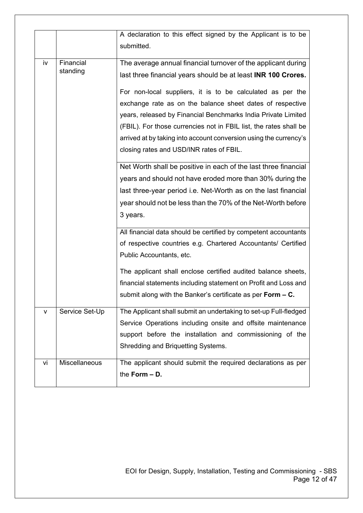|    |                | A declaration to this effect signed by the Applicant is to be<br>submitted. |  |  |  |
|----|----------------|-----------------------------------------------------------------------------|--|--|--|
| iv | Financial      | The average annual financial turnover of the applicant during               |  |  |  |
|    | standing       | last three financial years should be at least <b>INR 100 Crores.</b>        |  |  |  |
|    |                | For non-local suppliers, it is to be calculated as per the                  |  |  |  |
|    |                | exchange rate as on the balance sheet dates of respective                   |  |  |  |
|    |                | years, released by Financial Benchmarks India Private Limited               |  |  |  |
|    |                | (FBIL). For those currencies not in FBIL list, the rates shall be           |  |  |  |
|    |                | arrived at by taking into account conversion using the currency's           |  |  |  |
|    |                | closing rates and USD/INR rates of FBIL.                                    |  |  |  |
|    |                | Net Worth shall be positive in each of the last three financial             |  |  |  |
|    |                | years and should not have eroded more than 30% during the                   |  |  |  |
|    |                | last three-year period i.e. Net-Worth as on the last financial              |  |  |  |
|    |                | year should not be less than the 70% of the Net-Worth before                |  |  |  |
|    |                | 3 years.                                                                    |  |  |  |
|    |                | All financial data should be certified by competent accountants             |  |  |  |
|    |                | of respective countries e.g. Chartered Accountants/ Certified               |  |  |  |
|    |                | Public Accountants, etc.                                                    |  |  |  |
|    |                | The applicant shall enclose certified audited balance sheets,               |  |  |  |
|    |                | financial statements including statement on Profit and Loss and             |  |  |  |
|    |                | submit along with the Banker's certificate as per Form $-$ C.               |  |  |  |
| v  | Service Set-Up | The Applicant shall submit an undertaking to set-up Full-fledged            |  |  |  |
|    |                | Service Operations including onsite and offsite maintenance                 |  |  |  |
|    |                | support before the installation and commissioning of the                    |  |  |  |
|    |                | Shredding and Briquetting Systems.                                          |  |  |  |
| vi | Miscellaneous  | The applicant should submit the required declarations as per                |  |  |  |
|    |                | the Form $- D$ .                                                            |  |  |  |
|    |                |                                                                             |  |  |  |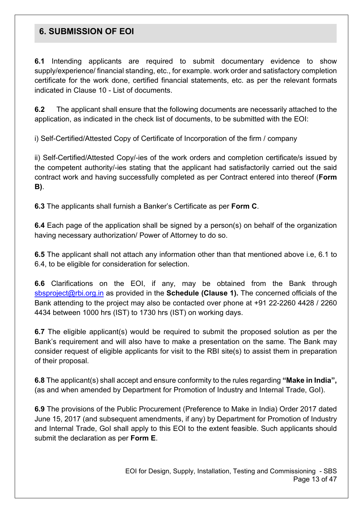### **6. SUBMISSION OF EOI**

**6.1** Intending applicants are required to submit documentary evidence to show supply/experience/ financial standing, etc., for example. work order and satisfactory completion certificate for the work done, certified financial statements, etc. as per the relevant formats indicated in Clause 10 - List of documents.

**6.2** The applicant shall ensure that the following documents are necessarily attached to the application, as indicated in the check list of documents, to be submitted with the EOI:

i) Self-Certified/Attested Copy of Certificate of Incorporation of the firm / company

ii) Self-Certified/Attested Copy/-ies of the work orders and completion certificate/s issued by the competent authority/-ies stating that the applicant had satisfactorily carried out the said contract work and having successfully completed as per Contract entered into thereof (**Form B)**.

**6.3** The applicants shall furnish a Banker's Certificate as per **Form C**.

**6.4** Each page of the application shall be signed by a person(s) on behalf of the organization having necessary authorization/ Power of Attorney to do so.

**6.5** The applicant shall not attach any information other than that mentioned above i.e, 6.1 to 6.4, to be eligible for consideration for selection.

**6.6** Clarifications on the EOI, if any, may be obtained from the Bank through [sbsproject@rbi.org.in](mailto:sbsproject@rbi.org.in) as provided in the **Schedule (Clause 1).** The concerned officials of the Bank attending to the project may also be contacted over phone at +91 22-2260 4428 / 2260 4434 between 1000 hrs (IST) to 1730 hrs (IST) on working days.

**6.7** The eligible applicant(s) would be required to submit the proposed solution as per the Bank's requirement and will also have to make a presentation on the same. The Bank may consider request of eligible applicants for visit to the RBI site(s) to assist them in preparation of their proposal.

**6.8** The applicant(s) shall accept and ensure conformity to the rules regarding **"Make in India",**  (as and when amended by Department for Promotion of Industry and Internal Trade, GoI).

**6.9** The provisions of the Public Procurement (Preference to Make in India) Order 2017 dated June 15, 2017 (and subsequent amendments, if any) by Department for Promotion of Industry and Internal Trade, GoI shall apply to this EOI to the extent feasible. Such applicants should submit the declaration as per **Form E**.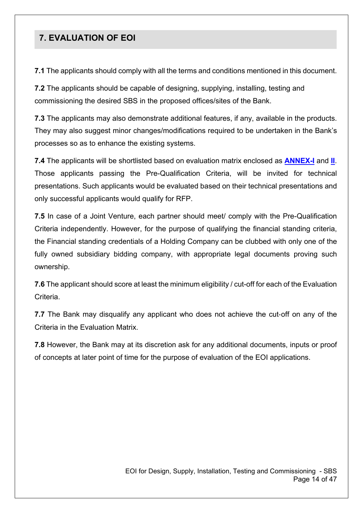## **7. EVALUATION OF EOI**

**7.1** The applicants should comply with all the terms and conditions mentioned in this document.

**7.2** The applicants should be capable of designing, supplying, installing, testing and commissioning the desired SBS in the proposed offices/sites of the Bank.

**7.3** The applicants may also demonstrate additional features, if any, available in the products. They may also suggest minor changes/modifications required to be undertaken in the Bank's processes so as to enhance the existing systems.

**7.4** The applicants will be shortlisted based on evaluation matrix enclosed as **[ANNEX-I](#page-24-0)** and **[II](#page-27-0)**. Those applicants passing the Pre-Qualification Criteria, will be invited for technical presentations. Such applicants would be evaluated based on their technical presentations and only successful applicants would qualify for RFP.

**7.5** In case of a Joint Venture, each partner should meet/ comply with the Pre-Qualification Criteria independently. However, for the purpose of qualifying the financial standing criteria, the Financial standing credentials of a Holding Company can be clubbed with only one of the fully owned subsidiary bidding company, with appropriate legal documents proving such ownership.

**7.6** The applicant should score at least the minimum eligibility / cut-off for each of the Evaluation Criteria.

**7.7** The Bank may disqualify any applicant who does not achieve the cut-off on any of the Criteria in the Evaluation Matrix.

**7.8** However, the Bank may at its discretion ask for any additional documents, inputs or proof of concepts at later point of time for the purpose of evaluation of the EOI applications.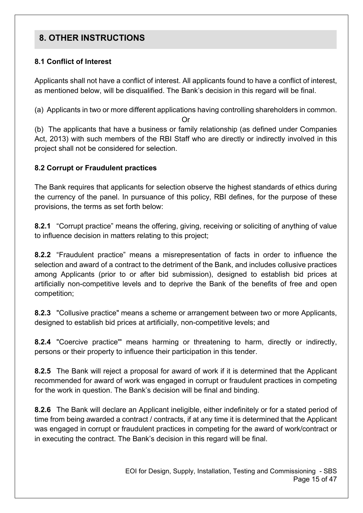## **8. OTHER INSTRUCTIONS**

#### **8.1 Conflict of Interest**

Applicants shall not have a conflict of interest. All applicants found to have a conflict of interest, as mentioned below, will be disqualified. The Bank's decision in this regard will be final.

(a) Applicants in two or more different applications having controlling shareholders in common. Or

(b) The applicants that have a business or family relationship (as defined under Companies Act, 2013) with such members of the RBI Staff who are directly or indirectly involved in this project shall not be considered for selection.

#### **8.2 Corrupt or Fraudulent practices**

The Bank requires that applicants for selection observe the highest standards of ethics during the currency of the panel. In pursuance of this policy, RBI defines, for the purpose of these provisions, the terms as set forth below:

**8.2.1** "Corrupt practice" means the offering, giving, receiving or soliciting of anything of value to influence decision in matters relating to this project;

**8.2.2** "Fraudulent practice" means a misrepresentation of facts in order to influence the selection and award of a contract to the detriment of the Bank, and includes collusive practices among Applicants (prior to or after bid submission), designed to establish bid prices at artificially non-competitive levels and to deprive the Bank of the benefits of free and open competition;

**8.2.3** "Collusive practice" means a scheme or arrangement between two or more Applicants, designed to establish bid prices at artificially, non-competitive levels; and

**8.2.4** "Coercive practice'" means harming or threatening to harm, directly or indirectly, persons or their property to influence their participation in this tender.

**8.2.5** The Bank will reject a proposal for award of work if it is determined that the Applicant recommended for award of work was engaged in corrupt or fraudulent practices in competing for the work in question. The Bank's decision will be final and binding.

**8.2.6** The Bank will declare an Applicant ineligible, either indefinitely or for a stated period of time from being awarded a contract / contracts, if at any time it is determined that the Applicant was engaged in corrupt or fraudulent practices in competing for the award of work/contract or in executing the contract. The Bank's decision in this regard will be final.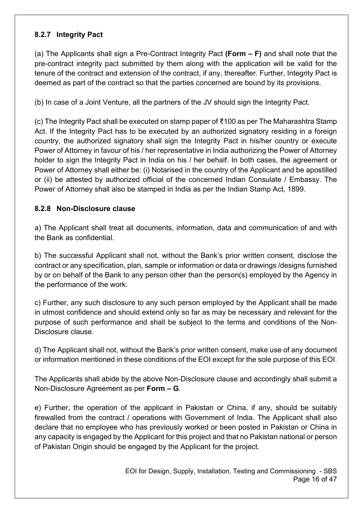#### **8.2.7 Integrity Pact**

(a) The Applicants shall sign a Pre-Contract Integrity Pact **(Form – F)** and shall note that the pre-contract integrity pact submitted by them along with the application will be valid for the tenure of the contract and extension of the contract, if any, thereafter. Further, Integrity Pact is deemed as part of the contract so that the parties concerned are bound by its provisions.

(b) In case of a Joint Venture, all the partners of the JV should sign the Integrity Pact.

(c) The Integrity Pact shall be executed on stamp paper of ₹100 as per The Maharashtra Stamp Act. If the Integrity Pact has to be executed by an authorized signatory residing in a foreign country, the authorized signatory shall sign the Integrity Pact in his/her country or execute Power of Attorney in favour of his / her representative in India authorizing the Power of Attorney holder to sign the Integrity Pact in India on his / her behalf. In both cases, the agreement or Power of Attorney shall either be: (i) Notarised in the country of the Applicant and be apostilled or (ii) be attested by authorized official of the concerned Indian Consulate / Embassy. The Power of Attorney shall also be stamped in India as per the Indian Stamp Act, 1899.

#### **8.2.8 Non-Disclosure clause**

a) The Applicant shall treat all documents, information, data and communication of and with the Bank as confidential.

b) The successful Applicant shall not, without the Bank's prior written consent, disclose the contract or any specification, plan, sample or information or data or drawings /designs furnished by or on behalf of the Bank to any person other than the person(s) employed by the Agency in the performance of the work.

c) Further, any such disclosure to any such person employed by the Applicant shall be made in utmost confidence and should extend only so far as may be necessary and relevant for the purpose of such performance and shall be subject to the terms and conditions of the Non-Disclosure clause.

d) The Applicant shall not, without the Bank's prior written consent, make use of any document or information mentioned in these conditions of the EOI except for the sole purpose of this EOI.

The Applicants shall abide by the above Non-Disclosure clause and accordingly shall submit a Non-Disclosure Agreement as per **Form – G**.

e) Further, the operation of the applicant in Pakistan or China, if any, should be suitably firewalled from the contract / operations with Government of India. The Applicant shall also declare that no employee who has previously worked or been posted in Pakistan or China in any capacity is engaged by the Applicant for this project and that no Pakistan national or person of Pakistan Origin should be engaged by the Applicant for the project.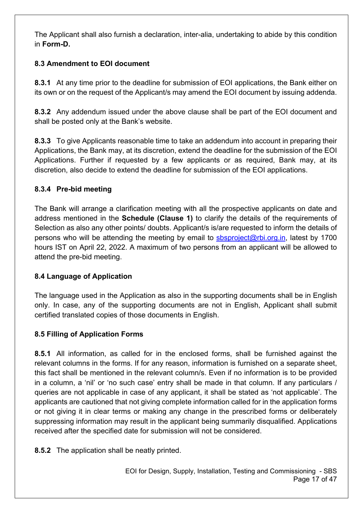The Applicant shall also furnish a declaration, inter-alia, undertaking to abide by this condition in **Form-D.** 

### **8.3 Amendment to EOI document**

**8.3.1** At any time prior to the deadline for submission of EOI applications, the Bank either on its own or on the request of the Applicant/s may amend the EOI document by issuing addenda.

**8.3.2** Any addendum issued under the above clause shall be part of the EOI document and shall be posted only at the Bank's website.

**8.3.3** To give Applicants reasonable time to take an addendum into account in preparing their Applications, the Bank may, at its discretion, extend the deadline for the submission of the EOI Applications. Further if requested by a few applicants or as required, Bank may, at its discretion, also decide to extend the deadline for submission of the EOI applications.

### **8.3.4 Pre-bid meeting**

The Bank will arrange a clarification meeting with all the prospective applicants on date and address mentioned in the **Schedule (Clause 1)** to clarify the details of the requirements of Selection as also any other points/ doubts. Applicant/s is/are requested to inform the details of persons who will be attending the meeting by email to [sbsproject@rbi.org.in,](mailto:sbsproject@rbi.org.in) latest by 1700 hours IST on April 22, 2022. A maximum of two persons from an applicant will be allowed to attend the pre-bid meeting.

## **8.4 Language of Application**

The language used in the Application as also in the supporting documents shall be in English only. In case, any of the supporting documents are not in English, Applicant shall submit certified translated copies of those documents in English.

## **8.5 Filling of Application Forms**

**8.5.1** All information, as called for in the enclosed forms, shall be furnished against the relevant columns in the forms. If for any reason, information is furnished on a separate sheet, this fact shall be mentioned in the relevant column/s. Even if no information is to be provided in a column, a 'nil' or 'no such case' entry shall be made in that column. If any particulars / queries are not applicable in case of any applicant, it shall be stated as 'not applicable'. The applicants are cautioned that not giving complete information called for in the application forms or not giving it in clear terms or making any change in the prescribed forms or deliberately suppressing information may result in the applicant being summarily disqualified. Applications received after the specified date for submission will not be considered.

**8.5.2** The application shall be neatly printed.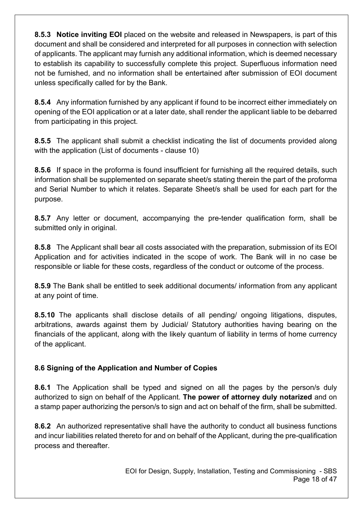**8.5.3 Notice inviting EOI** placed on the website and released in Newspapers, is part of this document and shall be considered and interpreted for all purposes in connection with selection of applicants. The applicant may furnish any additional information, which is deemed necessary to establish its capability to successfully complete this project. Superfluous information need not be furnished, and no information shall be entertained after submission of EOI document unless specifically called for by the Bank.

**8.5.4** Any information furnished by any applicant if found to be incorrect either immediately on opening of the EOI application or at a later date, shall render the applicant liable to be debarred from participating in this project.

**8.5.5** The applicant shall submit a checklist indicating the list of documents provided along with the application (List of documents - clause 10)

**8.5.6** If space in the proforma is found insufficient for furnishing all the required details, such information shall be supplemented on separate sheet/s stating therein the part of the proforma and Serial Number to which it relates. Separate Sheet/s shall be used for each part for the purpose.

**8.5.7** Any letter or document, accompanying the pre-tender qualification form, shall be submitted only in original.

**8.5.8** The Applicant shall bear all costs associated with the preparation, submission of its EOI Application and for activities indicated in the scope of work. The Bank will in no case be responsible or liable for these costs, regardless of the conduct or outcome of the process.

**8.5.9** The Bank shall be entitled to seek additional documents/ information from any applicant at any point of time.

**8.5.10** The applicants shall disclose details of all pending/ ongoing litigations, disputes, arbitrations, awards against them by Judicial/ Statutory authorities having bearing on the financials of the applicant, along with the likely quantum of liability in terms of home currency of the applicant.

### **8.6 Signing of the Application and Number of Copies**

**8.6.1** The Application shall be typed and signed on all the pages by the person/s duly authorized to sign on behalf of the Applicant. **The power of attorney duly notarized** and on a stamp paper authorizing the person/s to sign and act on behalf of the firm, shall be submitted.

**8.6.2** An authorized representative shall have the authority to conduct all business functions and incur liabilities related thereto for and on behalf of the Applicant, during the pre-qualification process and thereafter.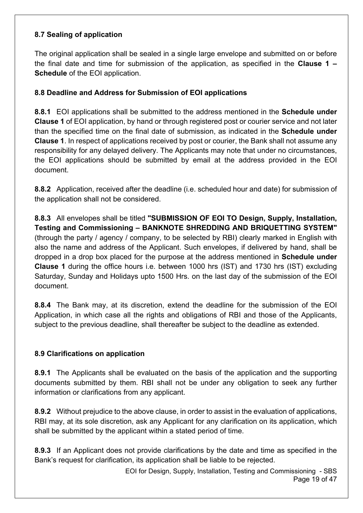#### **8.7 Sealing of application**

The original application shall be sealed in a single large envelope and submitted on or before the final date and time for submission of the application, as specified in the **Clause 1 – Schedule** of the EOI application.

#### **8.8 Deadline and Address for Submission of EOI applications**

**8.8.1** EOI applications shall be submitted to the address mentioned in the **Schedule under Clause 1** of EOI application, by hand or through registered post or courier service and not later than the specified time on the final date of submission, as indicated in the **Schedule under Clause 1**. In respect of applications received by post or courier, the Bank shall not assume any responsibility for any delayed delivery. The Applicants may note that under no circumstances, the EOI applications should be submitted by email at the address provided in the EOI document.

**8.8.2** Application, received after the deadline (i.e. scheduled hour and date) for submission of the application shall not be considered.

**8.8.3** All envelopes shall be titled **"SUBMISSION OF EOI TO Design, Supply, Installation, Testing and Commissioning – BANKNOTE SHREDDING AND BRIQUETTING SYSTEM"** (through the party / agency / company, to be selected by RBI) clearly marked in English with also the name and address of the Applicant. Such envelopes, if delivered by hand, shall be dropped in a drop box placed for the purpose at the address mentioned in **Schedule under Clause 1** during the office hours i.e. between 1000 hrs (IST) and 1730 hrs (IST) excluding Saturday, Sunday and Holidays upto 1500 Hrs. on the last day of the submission of the EOI document.

**8.8.4** The Bank may, at its discretion, extend the deadline for the submission of the EOI Application, in which case all the rights and obligations of RBI and those of the Applicants, subject to the previous deadline, shall thereafter be subject to the deadline as extended.

#### **8.9 Clarifications on application**

**8.9.1** The Applicants shall be evaluated on the basis of the application and the supporting documents submitted by them. RBI shall not be under any obligation to seek any further information or clarifications from any applicant.

**8.9.2** Without prejudice to the above clause, in order to assist in the evaluation of applications, RBI may, at its sole discretion, ask any Applicant for any clarification on its application, which shall be submitted by the applicant within a stated period of time.

**8.9.3** If an Applicant does not provide clarifications by the date and time as specified in the Bank's request for clarification, its application shall be liable to be rejected.

> EOI for Design, Supply, Installation, Testing and Commissioning - SBS Page 19 of 47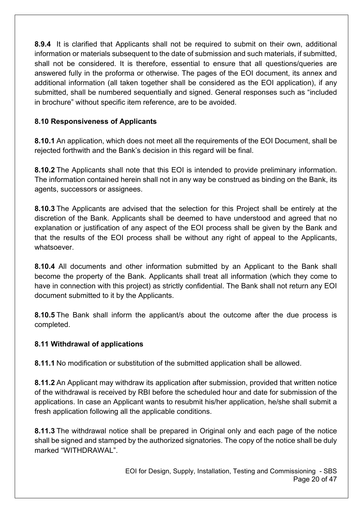**8.9.4** It is clarified that Applicants shall not be required to submit on their own, additional information or materials subsequent to the date of submission and such materials, if submitted, shall not be considered. It is therefore, essential to ensure that all questions/queries are answered fully in the proforma or otherwise. The pages of the EOI document, its annex and additional information (all taken together shall be considered as the EOI application), if any submitted, shall be numbered sequentially and signed. General responses such as "included in brochure" without specific item reference, are to be avoided.

#### **8.10 Responsiveness of Applicants**

**8.10.1** An application, which does not meet all the requirements of the EOI Document, shall be rejected forthwith and the Bank's decision in this regard will be final.

**8.10.2** The Applicants shall note that this EOI is intended to provide preliminary information. The information contained herein shall not in any way be construed as binding on the Bank, its agents, successors or assignees.

**8.10.3** The Applicants are advised that the selection for this Project shall be entirely at the discretion of the Bank. Applicants shall be deemed to have understood and agreed that no explanation or justification of any aspect of the EOI process shall be given by the Bank and that the results of the EOI process shall be without any right of appeal to the Applicants, whatsoever.

**8.10.4** All documents and other information submitted by an Applicant to the Bank shall become the property of the Bank. Applicants shall treat all information (which they come to have in connection with this project) as strictly confidential. The Bank shall not return any EOI document submitted to it by the Applicants.

**8.10.5** The Bank shall inform the applicant/s about the outcome after the due process is completed.

#### **8.11 Withdrawal of applications**

**8.11.1** No modification or substitution of the submitted application shall be allowed.

**8.11.2** An Applicant may withdraw its application after submission, provided that written notice of the withdrawal is received by RBI before the scheduled hour and date for submission of the applications. In case an Applicant wants to resubmit his/her application, he/she shall submit a fresh application following all the applicable conditions.

**8.11.3** The withdrawal notice shall be prepared in Original only and each page of the notice shall be signed and stamped by the authorized signatories. The copy of the notice shall be duly marked "WITHDRAWAL".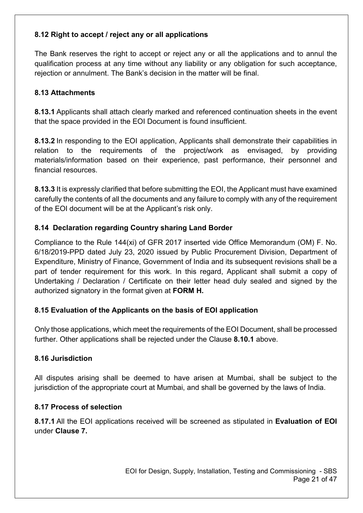### **8.12 Right to accept / reject any or all applications**

The Bank reserves the right to accept or reject any or all the applications and to annul the qualification process at any time without any liability or any obligation for such acceptance, rejection or annulment. The Bank's decision in the matter will be final.

#### **8.13 Attachments**

**8.13.1** Applicants shall attach clearly marked and referenced continuation sheets in the event that the space provided in the EOI Document is found insufficient.

**8.13.2** In responding to the EOI application, Applicants shall demonstrate their capabilities in relation to the requirements of the project/work as envisaged, by providing materials/information based on their experience, past performance, their personnel and financial resources.

**8.13.3** It is expressly clarified that before submitting the EOI, the Applicant must have examined carefully the contents of all the documents and any failure to comply with any of the requirement of the EOI document will be at the Applicant's risk only.

#### **8.14 Declaration regarding Country sharing Land Border**

Compliance to the Rule 144(xi) of GFR 2017 inserted vide Office Memorandum (OM) F. No. 6/18/2019-PPD dated July 23, 2020 issued by Public Procurement Division, Department of Expenditure, Ministry of Finance, Government of India and its subsequent revisions shall be a part of tender requirement for this work. In this regard, Applicant shall submit a copy of Undertaking / Declaration / Certificate on their letter head duly sealed and signed by the authorized signatory in the format given at **FORM H.**

#### **8.15 Evaluation of the Applicants on the basis of EOI application**

Only those applications, which meet the requirements of the EOI Document, shall be processed further. Other applications shall be rejected under the Clause **8.10.1** above.

#### **8.16 Jurisdiction**

All disputes arising shall be deemed to have arisen at Mumbai, shall be subject to the jurisdiction of the appropriate court at Mumbai, and shall be governed by the laws of India.

#### **8.17 Process of selection**

**8.17.1** All the EOI applications received will be screened as stipulated in **Evaluation of EOI** under **Clause 7.**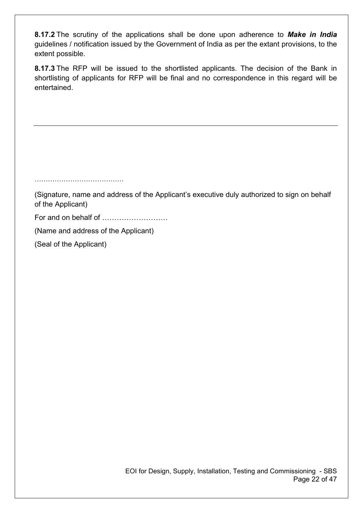**8.17.2** The scrutiny of the applications shall be done upon adherence to *Make in India* guidelines / notification issued by the Government of India as per the extant provisions, to the extent possible.

**8.17.3** The RFP will be issued to the shortlisted applicants. The decision of the Bank in shortlisting of applicants for RFP will be final and no correspondence in this regard will be entertained.

…………………………………. (Signature, name and address of the Applicant's executive duly authorized to sign on behalf of the Applicant) For and on behalf of ……………………… (Name and address of the Applicant)

(Seal of the Applicant)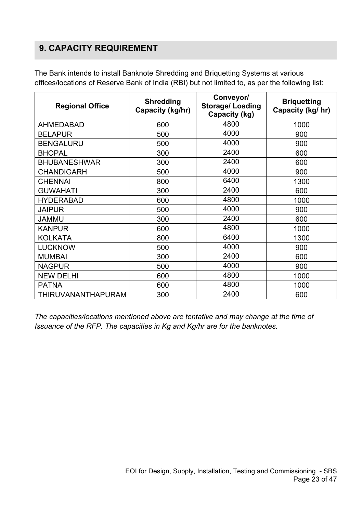## **9. CAPACITY REQUIREMENT**

The Bank intends to install Banknote Shredding and Briquetting Systems at various offices/locations of Reserve Bank of India (RBI) but not limited to, as per the following list:

| <b>Regional Office</b> | <b>Shredding</b><br>Capacity (kg/hr) | Conveyor/<br><b>Storage/Loading</b><br>Capacity (kg) | <b>Briquetting</b><br>Capacity (kg/ hr) |
|------------------------|--------------------------------------|------------------------------------------------------|-----------------------------------------|
| <b>AHMEDABAD</b>       | 600                                  | 4800                                                 | 1000                                    |
| <b>BELAPUR</b>         | 500                                  | 4000                                                 | 900                                     |
| <b>BENGALURU</b>       | 500                                  | 4000                                                 | 900                                     |
| <b>BHOPAL</b>          | 300                                  | 2400                                                 | 600                                     |
| <b>BHUBANESHWAR</b>    | 300                                  | 2400                                                 | 600                                     |
| <b>CHANDIGARH</b>      | 500                                  | 4000                                                 | 900                                     |
| <b>CHENNAI</b>         | 6400<br>800                          |                                                      | 1300                                    |
| <b>GUWAHATI</b>        | 300                                  | 2400                                                 | 600                                     |
| <b>HYDERABAD</b>       | 600                                  | 4800                                                 | 1000                                    |
| <b>JAIPUR</b>          | 500                                  | 4000                                                 | 900                                     |
| <b>JAMMU</b>           | 300                                  | 2400                                                 | 600                                     |
| <b>KANPUR</b>          | 600                                  | 4800                                                 | 1000                                    |
| <b>KOLKATA</b>         | 800                                  | 6400                                                 | 1300                                    |
| <b>LUCKNOW</b>         | 500                                  | 4000                                                 | 900                                     |
| <b>MUMBAI</b>          | 300                                  | 2400                                                 | 600                                     |
| <b>NAGPUR</b>          | 500                                  | 4000                                                 | 900                                     |
| <b>NEW DELHI</b>       | 600                                  | 4800                                                 | 1000                                    |
| <b>PATNA</b>           | 600                                  | 4800                                                 | 1000                                    |
| THIRUVANANTHAPURAM     | 300                                  | 2400                                                 | 600                                     |

*The capacities/locations mentioned above are tentative and may change at the time of Issuance of the RFP. The capacities in Kg and Kg/hr are for the banknotes.*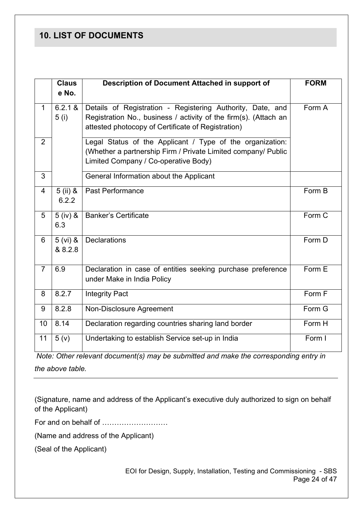## **10. LIST OF DOCUMENTS**

|                | <b>Claus</b><br>e No. | Description of Document Attached in support of                                                                                                                                       | <b>FORM</b> |
|----------------|-----------------------|--------------------------------------------------------------------------------------------------------------------------------------------------------------------------------------|-------------|
| $\mathbf 1$    | 6.2.1 &<br>5(i)       | Details of Registration - Registering Authority, Date, and<br>Registration No., business / activity of the firm(s). (Attach an<br>attested photocopy of Certificate of Registration) | Form A      |
| $\overline{2}$ |                       | Legal Status of the Applicant / Type of the organization:<br>(Whether a partnership Firm / Private Limited company/ Public<br>Limited Company / Co-operative Body)                   |             |
| 3              |                       | General Information about the Applicant                                                                                                                                              |             |
| 4              | $5$ (ii) &<br>6.2.2   | <b>Past Performance</b>                                                                                                                                                              | Form B      |
| 5              | $5$ (iv) $8$<br>6.3   | <b>Banker's Certificate</b>                                                                                                                                                          | Form C      |
| 6              | $5 (vi)$ &<br>& 8.2.8 | <b>Declarations</b>                                                                                                                                                                  | Form D      |
| $\overline{7}$ | 6.9                   | Declaration in case of entities seeking purchase preference<br>under Make in India Policy                                                                                            | Form E      |
| 8              | 8.2.7                 | <b>Integrity Pact</b>                                                                                                                                                                | Form F      |
| 9              | 8.2.8                 | Non-Disclosure Agreement                                                                                                                                                             | Form G      |
| 10             | 8.14                  | Declaration regarding countries sharing land border                                                                                                                                  | Form H      |
| 11             | 5(y)                  | Undertaking to establish Service set-up in India                                                                                                                                     | Form I      |

*Note: Other relevant document(s) may be submitted and make the corresponding entry in the above table.*

(Signature, name and address of the Applicant's executive duly authorized to sign on behalf of the Applicant)

For and on behalf of ………………………

(Name and address of the Applicant)

(Seal of the Applicant)

EOI for Design, Supply, Installation, Testing and Commissioning - SBS Page 24 of 47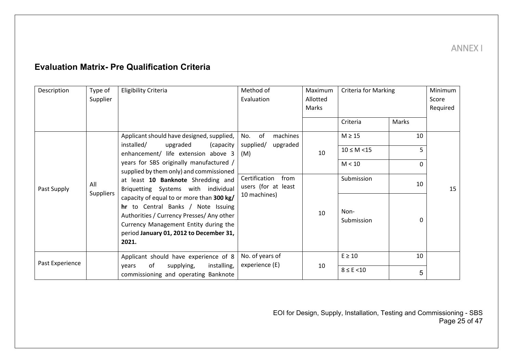## **Evaluation Matrix- Pre Qualification Criteria**

<span id="page-24-0"></span>

| Description     | Type of                 | <b>Eligibility Criteria</b>                                                                                                                                                                                               | Method of                                    | Maximum  | <b>Criteria for Marking</b> |          | Minimum  |
|-----------------|-------------------------|---------------------------------------------------------------------------------------------------------------------------------------------------------------------------------------------------------------------------|----------------------------------------------|----------|-----------------------------|----------|----------|
|                 | Supplier                |                                                                                                                                                                                                                           | Evaluation                                   | Allotted |                             |          | Score    |
|                 |                         |                                                                                                                                                                                                                           |                                              | Marks    |                             |          | Required |
|                 |                         |                                                                                                                                                                                                                           |                                              |          | Criteria                    | Marks    |          |
|                 |                         | Applicant should have designed, supplied,<br>installed/<br>upgraded                                                                                                                                                       | No.<br>of<br>machines                        |          | $M \geq 15$                 | 10       |          |
|                 |                         | (capacity<br>enhancement/ life extension above 3                                                                                                                                                                          | supplied/<br>upgraded<br>(M)                 | 10       | $10 \le M \le 15$           | 5.       |          |
|                 |                         | years for SBS originally manufactured /<br>supplied by them only) and commissioned                                                                                                                                        |                                              |          | M < 10                      | $\Omega$ |          |
| Past Supply     | All<br><b>Suppliers</b> | at least 10 Banknote Shredding and<br>Briquetting Systems with individual                                                                                                                                                 | Certification<br>from<br>users (for at least |          | Submission                  | 10       | 15       |
|                 |                         | capacity of equal to or more than 300 kg/<br>hr to Central Banks / Note Issuing<br>Authorities / Currency Presses/ Any other<br>Currency Management Entity during the<br>period January 01, 2012 to December 31,<br>2021. | 10 machines)                                 | 10       | Non-<br>Submission          | 0        |          |
| Past Experience |                         | Applicant should have experience of 8                                                                                                                                                                                     | No. of years of                              |          | $E \geq 10$                 | 10       |          |
|                 |                         | installing,<br>οf<br>supplying,<br>years<br>commissioning and operating Banknote                                                                                                                                          | experience (E)                               | 10       | $8 \leq E \leq 10$          | 5        |          |

EOI for Design, Supply, Installation, Testing and Commissioning - SBS Page 25 of 47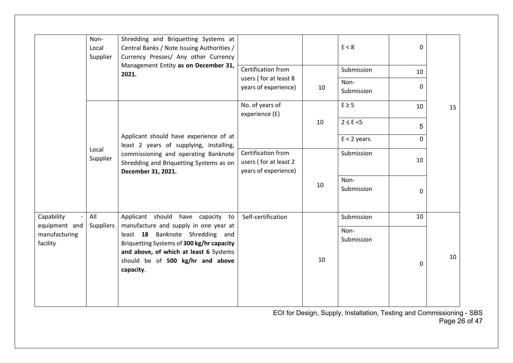|                                            | Non-<br>Local<br>Supplier | Shredding and Briquetting Systems at<br>Central Banks / Note Issuing Authorities /<br>Currency Presses/ Any other Currency                                                                                       |                                                                     |    | E < 8              | $\Omega$ |    |
|--------------------------------------------|---------------------------|------------------------------------------------------------------------------------------------------------------------------------------------------------------------------------------------------------------|---------------------------------------------------------------------|----|--------------------|----------|----|
|                                            |                           | Management Entity as on December 31,<br>2021.                                                                                                                                                                    | Certification from                                                  |    | Submission         | 10       |    |
|                                            |                           |                                                                                                                                                                                                                  | users (for at least 8<br>years of experience)                       | 10 | Non-<br>Submission | 0        |    |
|                                            |                           |                                                                                                                                                                                                                  | No. of years of<br>experience (E)                                   |    | $E \geq 5$         | 10       | 15 |
|                                            |                           |                                                                                                                                                                                                                  |                                                                     | 10 | $2 \leq E \leq 5$  | 5        |    |
|                                            |                           | Applicant should have experience of at<br>least 2 years of supplying, installing,                                                                                                                                |                                                                     |    | $E < 2$ years      | 0        |    |
|                                            | Local<br>Supplier         | commissioning and operating Banknote<br>Shredding and Briquetting Systems as on<br>December 31, 2021.                                                                                                            | Certification from<br>users (for at least 2<br>years of experience) |    | Submission         | 10       |    |
|                                            |                           |                                                                                                                                                                                                                  |                                                                     | 10 | Non-<br>Submission | $\Omega$ |    |
| Capability                                 | All                       | Applicant should have capacity to                                                                                                                                                                                | Self-certification                                                  |    | Submission         | 10       |    |
| equipment and<br>manufacturing<br>facility | <b>Suppliers</b>          | manufacture and supply in one year at<br>least 18 Banknote Shredding and<br>Briquetting Systems of 300 kg/hr capacity<br>and above, of which at least 6 Systems<br>should be of 500 kg/hr and above<br>capacity. |                                                                     | 10 | Non-<br>Submission | 0        | 10 |

EOI for Design, Supply, Installation, Testing and Commissioning - SBS Page 26 of 47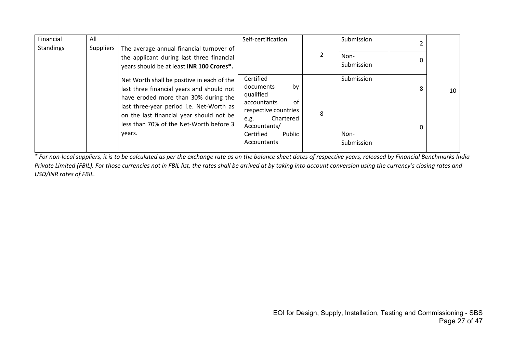| Financial        | All       |                                                                                                                                           | Self-certification                                                                                                          |   | Submission         |   |    |
|------------------|-----------|-------------------------------------------------------------------------------------------------------------------------------------------|-----------------------------------------------------------------------------------------------------------------------------|---|--------------------|---|----|
| <b>Standings</b> | Suppliers | The average annual financial turnover of<br>the applicant during last three financial<br>years should be at least INR 100 Crores*.        |                                                                                                                             | 2 | Non-<br>Submission |   |    |
|                  |           | Net Worth shall be positive in each of the<br>last three financial years and should not<br>have eroded more than 30% during the           | Certified<br>by<br>documents<br>qualified                                                                                   |   | Submission         | 8 | 10 |
|                  |           | last three-year period i.e. Net-Worth as<br>on the last financial year should not be<br>less than 70% of the Net-Worth before 3<br>years. | 0f<br>accountants<br>respective countries<br>Chartered<br>e.g.<br>Accountants/<br>Certified<br>Public<br><b>Accountants</b> | 8 | Non-<br>Submission | 0 |    |

*\* For non-local suppliers, it is to be calculated as per the exchange rate as on the balance sheet dates of respective years, released by Financial Benchmarks India Private Limited (FBIL). For those currencies not in FBIL list, the rates shall be arrived at by taking into account conversion using the currency's closing rates and USD/INR rates of FBIL.*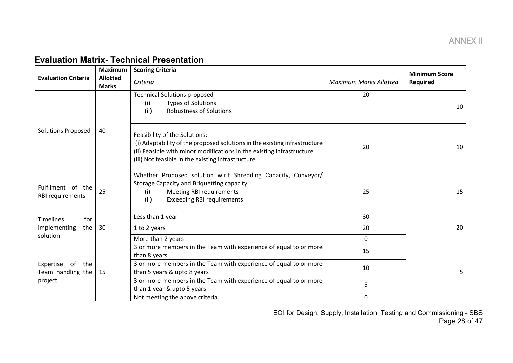ANNEX II

## **Evaluation Matrix- Technical Presentation**

<span id="page-27-0"></span>

|                                                               | <b>Maximum</b> | <b>Scoring Criteria</b>                                                                                                                                                                                                                  |                               | <b>Minimum Score</b> |
|---------------------------------------------------------------|----------------|------------------------------------------------------------------------------------------------------------------------------------------------------------------------------------------------------------------------------------------|-------------------------------|----------------------|
| <b>Evaluation Criteria</b><br><b>Allotted</b><br><b>Marks</b> |                | Criteria                                                                                                                                                                                                                                 | <b>Maximum Marks Allotted</b> | Required             |
|                                                               |                | <b>Technical Solutions proposed</b><br><b>Types of Solutions</b><br>(i)<br><b>Robustness of Solutions</b><br>(ii)                                                                                                                        | 20                            | 10                   |
| <b>Solutions Proposed</b>                                     | 40             | Feasibility of the Solutions:<br>(i) Adaptability of the proposed solutions in the existing infrastructure<br>(ii) Feasible with minor modifications in the existing infrastructure<br>(iii) Not feasible in the existing infrastructure | 20                            | 10                   |
| Fulfilment of the<br><b>RBI requirements</b>                  | 25             | Whether Proposed solution w.r.t Shredding Capacity, Conveyor/<br><b>Storage Capacity and Briquetting capacity</b><br><b>Meeting RBI requirements</b><br>(i)<br><b>Exceeding RBI requirements</b><br>(ii)                                 | 25                            | 15                   |
| <b>Timelines</b><br>for                                       |                | Less than 1 year                                                                                                                                                                                                                         | 30                            |                      |
| implementing<br>the                                           | 30             | 1 to 2 years                                                                                                                                                                                                                             | 20                            | 20                   |
| solution                                                      |                | More than 2 years                                                                                                                                                                                                                        | $\Omega$                      |                      |
|                                                               |                | 3 or more members in the Team with experience of equal to or more<br>than 8 years                                                                                                                                                        | 15                            |                      |
| Expertise of the<br>Team handling the                         | 15             | 3 or more members in the Team with experience of equal to or more<br>than 5 years & upto 8 years                                                                                                                                         | 10                            | 5                    |
| project                                                       |                | 3 or more members in the Team with experience of equal to or more<br>than 1 year & upto 5 years                                                                                                                                          | 5                             |                      |
|                                                               |                | Not meeting the above criteria                                                                                                                                                                                                           | 0                             |                      |

EOI for Design, Supply, Installation, Testing and Commissioning - SBS Page 28 of 47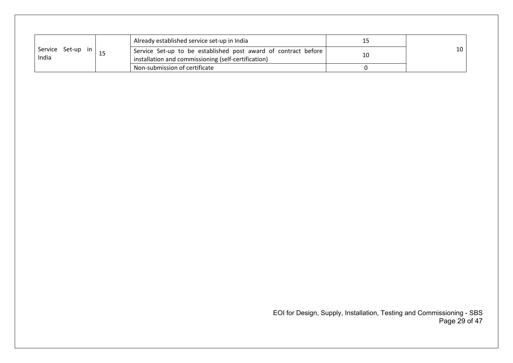|                   | Already established service set-up in India                    |    |    |
|-------------------|----------------------------------------------------------------|----|----|
| Service Set-up in | Service Set-up to be established post award of contract before | 10 | 10 |
| India             | installation and commissioning (self-certification)            |    |    |
|                   | Non-submission of certificate                                  |    |    |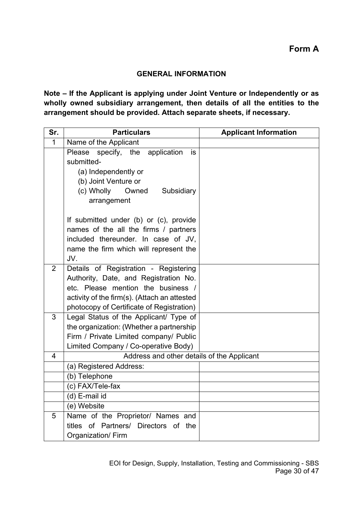#### **GENERAL INFORMATION**

**Note – If the Applicant is applying under Joint Venture or Independently or as wholly owned subsidiary arrangement, then details of all the entities to the arrangement should be provided. Attach separate sheets, if necessary.**

| Sr.            | <b>Particulars</b>                                                                                                                                                                                                | <b>Applicant Information</b> |  |  |
|----------------|-------------------------------------------------------------------------------------------------------------------------------------------------------------------------------------------------------------------|------------------------------|--|--|
| $\mathbf{1}$   | Name of the Applicant                                                                                                                                                                                             |                              |  |  |
|                | Please<br>specify, the<br>application<br>is<br>submitted-<br>(a) Independently or<br>(b) Joint Venture or<br>(c) Wholly<br>Owned<br>Subsidiary<br>arrangement                                                     |                              |  |  |
|                | If submitted under (b) or (c), provide<br>names of the all the firms / partners<br>included thereunder. In case of JV,<br>name the firm which will represent the<br>JV.                                           |                              |  |  |
| 2              | Details of Registration - Registering<br>Authority, Date, and Registration No.<br>etc. Please mention the business /<br>activity of the firm(s). (Attach an attested<br>photocopy of Certificate of Registration) |                              |  |  |
| 3              | Legal Status of the Applicant/ Type of<br>the organization: (Whether a partnership<br>Firm / Private Limited company/ Public<br>Limited Company / Co-operative Body)                                              |                              |  |  |
| $\overline{4}$ | Address and other details of the Applicant                                                                                                                                                                        |                              |  |  |
|                | (a) Registered Address:                                                                                                                                                                                           |                              |  |  |
|                | (b) Telephone                                                                                                                                                                                                     |                              |  |  |
|                | (c) FAX/Tele-fax                                                                                                                                                                                                  |                              |  |  |
|                | (d) E-mail id                                                                                                                                                                                                     |                              |  |  |
|                | (e) Website                                                                                                                                                                                                       |                              |  |  |
| 5              | Name of the Proprietor/ Names and<br>titles of Partners/ Directors of the<br>Organization/Firm                                                                                                                    |                              |  |  |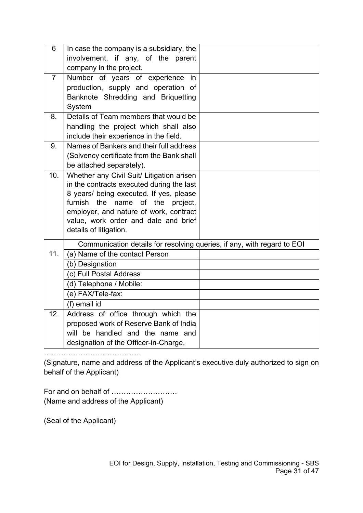| 6              | In case the company is a subsidiary, the                                |  |
|----------------|-------------------------------------------------------------------------|--|
|                | involvement, if any, of the parent                                      |  |
|                | company in the project.                                                 |  |
| $\overline{7}$ | Number of years of experience<br>in                                     |  |
|                | production, supply and operation of                                     |  |
|                | Banknote Shredding and Briquetting                                      |  |
|                | System                                                                  |  |
| 8.             | Details of Team members that would be                                   |  |
|                | handling the project which shall also                                   |  |
|                | include their experience in the field.                                  |  |
| 9.             | Names of Bankers and their full address                                 |  |
|                | (Solvency certificate from the Bank shall                               |  |
|                | be attached separately).                                                |  |
| 10.            | Whether any Civil Suit/ Litigation arisen                               |  |
|                | in the contracts executed during the last                               |  |
|                | 8 years/ being executed. If yes, please                                 |  |
|                | furnish the name of the<br>project,                                     |  |
|                | employer, and nature of work, contract                                  |  |
|                | value, work order and date and brief                                    |  |
|                | details of litigation.                                                  |  |
|                | Communication details for resolving queries, if any, with regard to EOI |  |
| 11.            | (a) Name of the contact Person                                          |  |
|                | (b) Designation                                                         |  |
|                | (c) Full Postal Address                                                 |  |
|                | (d) Telephone / Mobile:                                                 |  |
|                | (e) FAX/Tele-fax:                                                       |  |
|                | (f) email id                                                            |  |
| 12.            | Address of office through which the                                     |  |
|                | proposed work of Reserve Bank of India                                  |  |
|                | will be handled and the name and                                        |  |
|                | designation of the Officer-in-Charge.                                   |  |

………………………………….

(Signature, name and address of the Applicant's executive duly authorized to sign on behalf of the Applicant)

For and on behalf of ……………………… (Name and address of the Applicant)

(Seal of the Applicant)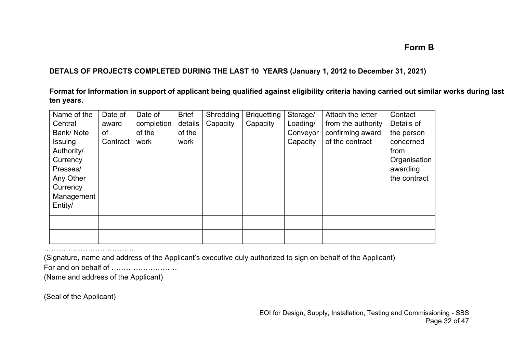## **Form B**

#### **DETALS OF PROJECTS COMPLETED DURING THE LAST 10 YEARS (January 1, 2012 to December 31, 2021)**

**Format for Information in support of applicant being qualified against eligibility criteria having carried out similar works during last ten years.**

| Name of the      | Date of  | Date of    | <b>Brief</b> | Shredding | <b>Briquetting</b> | Storage/ | Attach the letter  | Contact      |
|------------------|----------|------------|--------------|-----------|--------------------|----------|--------------------|--------------|
| Central          | award    | completion | details      | Capacity  | Capacity           | Loading/ | from the authority | Details of   |
| <b>Bank/Note</b> | of       | of the     | of the       |           |                    | Conveyor | confirming award   | the person   |
| <b>Issuing</b>   | Contract | work       | work         |           |                    | Capacity | of the contract    | concerned    |
| Authority/       |          |            |              |           |                    |          |                    | from         |
| Currency         |          |            |              |           |                    |          |                    | Organisation |
| Presses/         |          |            |              |           |                    |          |                    | awarding     |
| Any Other        |          |            |              |           |                    |          |                    | the contract |
| Currency         |          |            |              |           |                    |          |                    |              |
| Management       |          |            |              |           |                    |          |                    |              |
| Entity/          |          |            |              |           |                    |          |                    |              |
|                  |          |            |              |           |                    |          |                    |              |
|                  |          |            |              |           |                    |          |                    |              |

……………………………………………… (Signature, name and address of the Applicant's executive duly authorized to sign on behalf of the Applicant) For and on behalf of ………………………

(Name and address of the Applicant)

(Seal of the Applicant)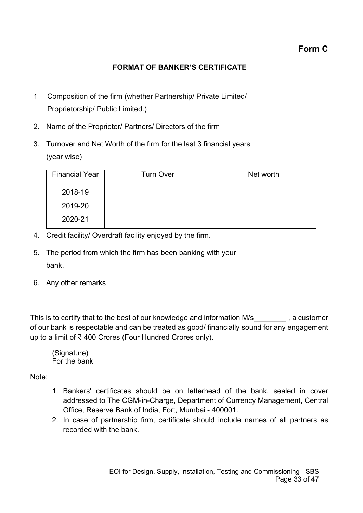## **Form C**

### **FORMAT OF BANKER'S CERTIFICATE**

- 1 Composition of the firm (whether Partnership/ Private Limited/ Proprietorship/ Public Limited.)
- 2. Name of the Proprietor/ Partners/ Directors of the firm
- 3. Turnover and Net Worth of the firm for the last 3 financial years (year wise)

| <b>Financial Year</b> | <b>Turn Over</b> | Net worth |
|-----------------------|------------------|-----------|
| 2018-19               |                  |           |
| 2019-20               |                  |           |
| 2020-21               |                  |           |

- 4. Credit facility/ Overdraft facility enjoyed by the firm.
- 5. The period from which the firm has been banking with your bank.
- 6. Any other remarks

This is to certify that to the best of our knowledge and information M/s\_\_\_\_\_\_\_\_, a customer of our bank is respectable and can be treated as good/ financially sound for any engagement up to a limit of ₹ 400 Crores (Four Hundred Crores only).

(Signature) For the bank

Note:

- 1. Bankers' certificates should be on letterhead of the bank, sealed in cover addressed to The CGM-in-Charge, Department of Currency Management, Central Office, Reserve Bank of India, Fort, Mumbai - 400001.
- 2. In case of partnership firm, certificate should include names of all partners as recorded with the bank.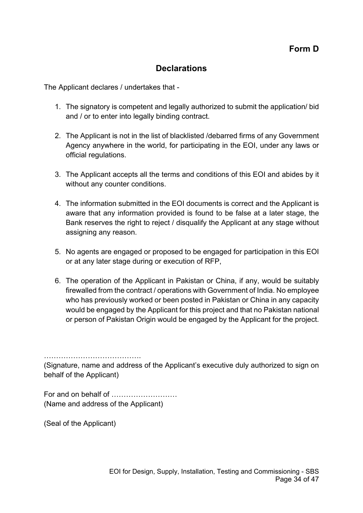## **Declarations**

The Applicant declares / undertakes that -

- 1. The signatory is competent and legally authorized to submit the application/ bid and / or to enter into legally binding contract.
- 2. The Applicant is not in the list of blacklisted /debarred firms of any Government Agency anywhere in the world, for participating in the EOI, under any laws or official regulations.
- 3. The Applicant accepts all the terms and conditions of this EOI and abides by it without any counter conditions.
- 4. The information submitted in the EOI documents is correct and the Applicant is aware that any information provided is found to be false at a later stage, the Bank reserves the right to reject / disqualify the Applicant at any stage without assigning any reason.
- 5. No agents are engaged or proposed to be engaged for participation in this EOI or at any later stage during or execution of RFP,
- 6. The operation of the Applicant in Pakistan or China, if any, would be suitably firewalled from the contract / operations with Government of India. No employee who has previously worked or been posted in Pakistan or China in any capacity would be engaged by the Applicant for this project and that no Pakistan national or person of Pakistan Origin would be engaged by the Applicant for the project.

(Signature, name and address of the Applicant's executive duly authorized to sign on behalf of the Applicant)

For and on behalf of ……………………… (Name and address of the Applicant)

………………………………….

(Seal of the Applicant)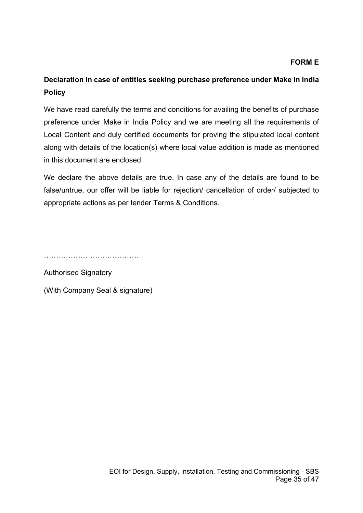#### **FORM E**

## **Declaration in case of entities seeking purchase preference under Make in India Policy**

We have read carefully the terms and conditions for availing the benefits of purchase preference under Make in India Policy and we are meeting all the requirements of Local Content and duly certified documents for proving the stipulated local content along with details of the location(s) where local value addition is made as mentioned in this document are enclosed.

We declare the above details are true. In case any of the details are found to be false/untrue, our offer will be liable for rejection/ cancellation of order/ subjected to appropriate actions as per tender Terms & Conditions.

………………………………………………

Authorised Signatory

(With Company Seal & signature)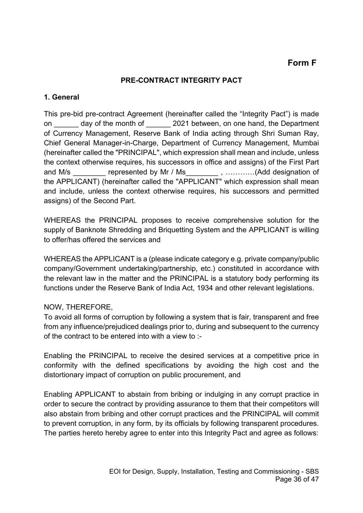## **Form F**

#### **PRE-CONTRACT INTEGRITY PACT**

#### **1. General**

This pre-bid pre-contract Agreement (hereinafter called the "Integrity Pact") is made on day of the month of 2021 between, on one hand, the Department of Currency Management, Reserve Bank of India acting through Shri Suman Ray, Chief General Manager-in-Charge, Department of Currency Management, Mumbai (hereinafter called the "PRINCIPAL", which expression shall mean and include, unless the context otherwise requires, his successors in office and assigns) of the First Part and M/s \_\_\_\_\_\_\_\_ represented by Mr / Ms \_\_\_\_\_\_\_\_ , …………(Add designation of the APPLICANT) (hereinafter called the "APPLICANT" which expression shall mean and include, unless the context otherwise requires, his successors and permitted assigns) of the Second Part.

WHEREAS the PRINCIPAL proposes to receive comprehensive solution for the supply of Banknote Shredding and Briquetting System and the APPLICANT is willing to offer/has offered the services and

WHEREAS the APPLICANT is a (please indicate category e.g. private company/public company/Government undertaking/partnership, etc.) constituted in accordance with the relevant law in the matter and the PRINCIPAL is a statutory body performing its functions under the Reserve Bank of India Act, 1934 and other relevant legislations.

#### NOW, THEREFORE,

To avoid all forms of corruption by following a system that is fair, transparent and free from any influence/prejudiced dealings prior to, during and subsequent to the currency of the contract to be entered into with a view to :-

Enabling the PRINCIPAL to receive the desired services at a competitive price in conformity with the defined specifications by avoiding the high cost and the distortionary impact of corruption on public procurement, and

Enabling APPLICANT to abstain from bribing or indulging in any corrupt practice in order to secure the contract by providing assurance to them that their competitors will also abstain from bribing and other corrupt practices and the PRINCIPAL will commit to prevent corruption, in any form, by its officials by following transparent procedures. The parties hereto hereby agree to enter into this Integrity Pact and agree as follows: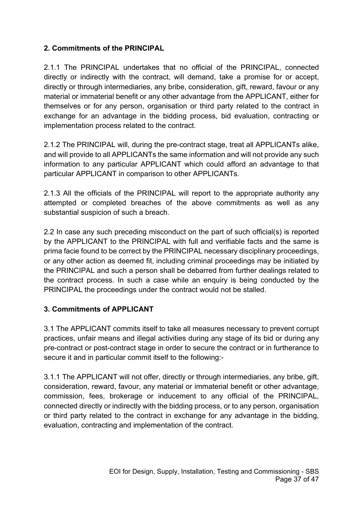### **2. Commitments of the PRINCIPAL**

2.1.1 The PRINCIPAL undertakes that no official of the PRINCIPAL, connected directly or indirectly with the contract, will demand, take a promise for or accept, directly or through intermediaries, any bribe, consideration, gift, reward, favour or any material or immaterial benefit or any other advantage from the APPLICANT, either for themselves or for any person, organisation or third party related to the contract in exchange for an advantage in the bidding process, bid evaluation, contracting or implementation process related to the contract.

2.1.2 The PRINCIPAL will, during the pre-contract stage, treat all APPLICANTs alike, and will provide to all APPLICANTs the same information and will not provide any such information to any particular APPLICANT which could afford an advantage to that particular APPLICANT in comparison to other APPLICANTs.

2.1.3 All the officials of the PRINCIPAL will report to the appropriate authority any attempted or completed breaches of the above commitments as well as any substantial suspicion of such a breach.

2.2 In case any such preceding misconduct on the part of such official(s) is reported by the APPLICANT to the PRINCIPAL with full and verifiable facts and the same is prima facie found to be correct by the PRINCIPAL necessary disciplinary proceedings, or any other action as deemed fit, including criminal proceedings may be initiated by the PRINCIPAL and such a person shall be debarred from further dealings related to the contract process. In such a case while an enquiry is being conducted by the PRINCIPAL the proceedings under the contract would not be stalled.

#### **3. Commitments of APPLICANT**

3.1 The APPLICANT commits itself to take all measures necessary to prevent corrupt practices, unfair means and illegal activities during any stage of its bid or during any pre-contract or post-contract stage in order to secure the contract or in furtherance to secure it and in particular commit itself to the following:-

3.1.1 The APPLICANT will not offer, directly or through intermediaries, any bribe, gift, consideration, reward, favour, any material or immaterial benefit or other advantage, commission, fees, brokerage or inducement to any official of the PRINCIPAL, connected directly or indirectly with the bidding process, or to any person, organisation or third party related to the contract in exchange for any advantage in the bidding, evaluation, contracting and implementation of the contract.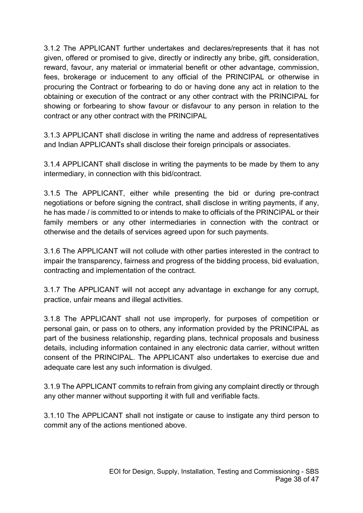3.1.2 The APPLICANT further undertakes and declares/represents that it has not given, offered or promised to give, directly or indirectly any bribe, gift, consideration, reward, favour, any material or immaterial benefit or other advantage, commission, fees, brokerage or inducement to any official of the PRINCIPAL or otherwise in procuring the Contract or forbearing to do or having done any act in relation to the obtaining or execution of the contract or any other contract with the PRINCIPAL for showing or forbearing to show favour or disfavour to any person in relation to the contract or any other contract with the PRINCIPAL

3.1.3 APPLICANT shall disclose in writing the name and address of representatives and Indian APPLICANTs shall disclose their foreign principals or associates.

3.1.4 APPLICANT shall disclose in writing the payments to be made by them to any intermediary, in connection with this bid/contract.

3.1.5 The APPLICANT, either while presenting the bid or during pre-contract negotiations or before signing the contract, shall disclose in writing payments, if any, he has made / is committed to or intends to make to officials of the PRINCIPAL or their family members or any other intermediaries in connection with the contract or otherwise and the details of services agreed upon for such payments.

3.1.6 The APPLICANT will not collude with other parties interested in the contract to impair the transparency, fairness and progress of the bidding process, bid evaluation, contracting and implementation of the contract.

3.1.7 The APPLICANT will not accept any advantage in exchange for any corrupt, practice, unfair means and illegal activities.

3.1.8 The APPLICANT shall not use improperly, for purposes of competition or personal gain, or pass on to others, any information provided by the PRINCIPAL as part of the business relationship, regarding plans, technical proposals and business details, including information contained in any electronic data carrier, without written consent of the PRINCIPAL. The APPLICANT also undertakes to exercise due and adequate care lest any such information is divulged.

3.1.9 The APPLICANT commits to refrain from giving any complaint directly or through any other manner without supporting it with full and verifiable facts.

3.1.10 The APPLICANT shall not instigate or cause to instigate any third person to commit any of the actions mentioned above.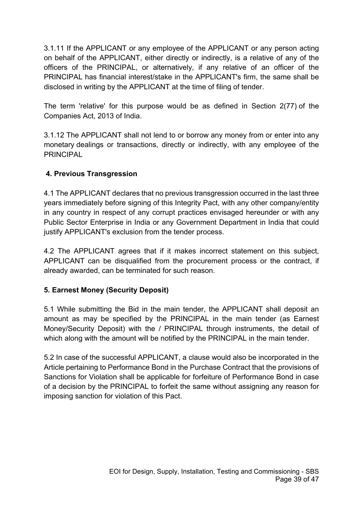3.1.11 If the APPLICANT or any employee of the APPLICANT or any person acting on behalf of the APPLICANT, either directly or indirectly, is a relative of any of the officers of the PRINCIPAL, or alternatively, if any relative of an officer of the PRINCIPAL has financial interest/stake in the APPLICANT's firm, the same shall be disclosed in writing by the APPLICANT at the time of filing of tender.

The term 'relative' for this purpose would be as defined in Section 2(77) of the Companies Act, 2013 of India.

3.1.12 The APPLICANT shall not lend to or borrow any money from or enter into any monetary dealings or transactions, directly or indirectly, with any employee of the PRINCIPAL

### **4. Previous Transgression**

4.1 The APPLICANT declares that no previous transgression occurred in the last three years immediately before signing of this Integrity Pact, with any other company/entity in any country in respect of any corrupt practices envisaged hereunder or with any Public Sector Enterprise in India or any Government Department in India that could justify APPLICANT's exclusion from the tender process.

4.2 The APPLICANT agrees that if it makes incorrect statement on this subject, APPLICANT can be disqualified from the procurement process or the contract, if already awarded, can be terminated for such reason.

### **5. Earnest Money (Security Deposit)**

5.1 While submitting the Bid in the main tender, the APPLICANT shall deposit an amount as may be specified by the PRINCIPAL in the main tender (as Earnest Money/Security Deposit) with the / PRINCIPAL through instruments, the detail of which along with the amount will be notified by the PRINCIPAL in the main tender.

5.2 In case of the successful APPLICANT, a clause would also be incorporated in the Article pertaining to Performance Bond in the Purchase Contract that the provisions of Sanctions for Violation shall be applicable for forfeiture of Performance Bond in case of a decision by the PRINCIPAL to forfeit the same without assigning any reason for imposing sanction for violation of this Pact.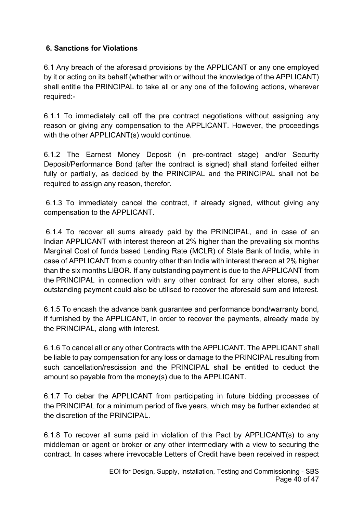### **6. Sanctions for Violations**

6.1 Any breach of the aforesaid provisions by the APPLICANT or any one employed by it or acting on its behalf (whether with or without the knowledge of the APPLICANT) shall entitle the PRINCIPAL to take all or any one of the following actions, wherever required:-

6.1.1 To immediately call off the pre contract negotiations without assigning any reason or giving any compensation to the APPLICANT. However, the proceedings with the other APPLICANT(s) would continue.

6.1.2 The Earnest Money Deposit (in pre-contract stage) and/or Security Deposit/Performance Bond (after the contract is signed) shall stand forfeited either fully or partially, as decided by the PRINCIPAL and the PRINCIPAL shall not be required to assign any reason, therefor.

6.1.3 To immediately cancel the contract, if already signed, without giving any compensation to the APPLICANT.

6.1.4 To recover all sums already paid by the PRINCIPAL, and in case of an Indian APPLICANT with interest thereon at 2% higher than the prevailing six months Marginal Cost of funds based Lending Rate (MCLR) of State Bank of India, while in case of APPLICANT from a country other than India with interest thereon at 2% higher than the six months LIBOR. If any outstanding payment is due to the APPLICANT from the PRINCIPAL in connection with any other contract for any other stores, such outstanding payment could also be utilised to recover the aforesaid sum and interest.

6.1.5 To encash the advance bank guarantee and performance bond/warranty bond, if furnished by the APPLICANT, in order to recover the payments, already made by the PRINCIPAL, along with interest.

6.1.6 To cancel all or any other Contracts with the APPLICANT. The APPLICANT shall be liable to pay compensation for any loss or damage to the PRINCIPAL resulting from such cancellation/rescission and the PRINCIPAL shall be entitled to deduct the amount so payable from the money(s) due to the APPLICANT.

6.1.7 To debar the APPLICANT from participating in future bidding processes of the PRINCIPAL for a minimum period of five years, which may be further extended at the discretion of the PRINCIPAL.

6.1.8 To recover all sums paid in violation of this Pact by APPLICANT(s) to any middleman or agent or broker or any other intermediary with a view to securing the contract. In cases where irrevocable Letters of Credit have been received in respect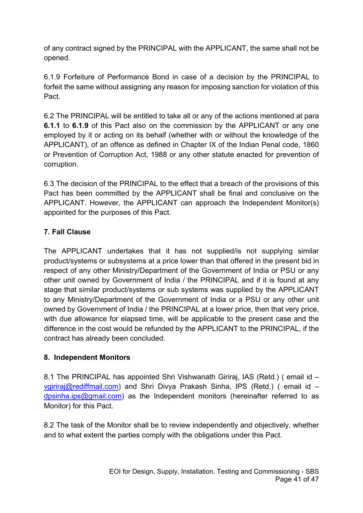of any contract signed by the PRINCIPAL with the APPLICANT, the same shall not be opened.

6.1.9 Forfeiture of Performance Bond in case of a decision by the PRINCIPAL to forfeit the same without assigning any reason for imposing sanction for violation of this Pact.

6.2 The PRINCIPAL will be entitled to take all or any of the actions mentioned at para **6.1.1** to **6.1.9** of this Pact also on the commission by the APPLICANT or any one employed by it or acting on its behalf (whether with or without the knowledge of the APPLICANT), of an offence as defined in Chapter IX of the Indian Penal code, 1860 or Prevention of Corruption Act, 1988 or any other statute enacted for prevention of corruption.

6.3 The decision of the PRINCIPAL to the effect that a breach of the provisions of this Pact has been committed by the APPLICANT shall be final and conclusive on the APPLICANT. However, the APPLICANT can approach the Independent Monitor(s) appointed for the purposes of this Pact.

### **7. Fall Clause**

The APPLICANT undertakes that it has not supplied/is not supplying similar product/systems or subsystems at a price lower than that offered in the present bid in respect of any other Ministry/Department of the Government of India or PSU or any other unit owned by Government of India / the PRINCIPAL and if it is found at any stage that similar product/systems or sub systems was supplied by the APPLICANT to any Ministry/Department of the Government of India or a PSU or any other unit owned by Government of India / the PRINCIPAL at a lower price, then that very price, with due allowance for elapsed time, will be applicable to the present case and the difference in the cost would be refunded by the APPLICANT to the PRINCIPAL, if the contract has already been concluded.

### **8. Independent Monitors**

8.1 The PRINCIPAL has appointed Shri Vishwanath Giriraj, IAS (Retd.) (email id – [vgiriraj@rediffmail.com\)](mailto:vgiriraj@rediffmail.com) and Shri Divya Prakash Sinha, IPS (Retd.) ( email id – [dpsinha.ips@gmail.com\)](mailto:dpsinha.ips@gmail.com) as the Independent monitors (hereinafter referred to as Monitor) for this Pact.

8.2 The task of the Monitor shall be to review independently and objectively, whether and to what extent the parties comply with the obligations under this Pact.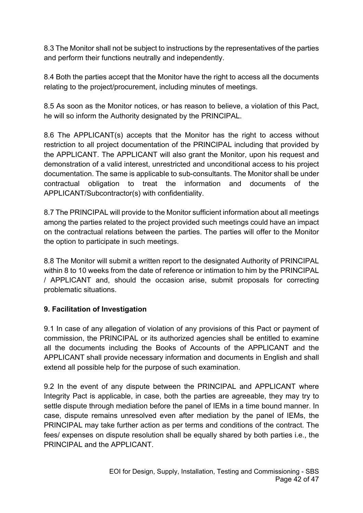8.3 The Monitor shall not be subject to instructions by the representatives of the parties and perform their functions neutrally and independently.

8.4 Both the parties accept that the Monitor have the right to access all the documents relating to the project/procurement, including minutes of meetings.

8.5 As soon as the Monitor notices, or has reason to believe, a violation of this Pact, he will so inform the Authority designated by the PRINCIPAL.

8.6 The APPLICANT(s) accepts that the Monitor has the right to access without restriction to all project documentation of the PRINCIPAL including that provided by the APPLICANT. The APPLICANT will also grant the Monitor, upon his request and demonstration of a valid interest, unrestricted and unconditional access to his project documentation. The same is applicable to sub-consultants. The Monitor shall be under contractual obligation to treat the information and documents of the APPLICANT/Subcontractor(s) with confidentiality.

8.7 The PRINCIPAL will provide to the Monitor sufficient information about all meetings among the parties related to the project provided such meetings could have an impact on the contractual relations between the parties. The parties will offer to the Monitor the option to participate in such meetings.

8.8 The Monitor will submit a written report to the designated Authority of PRINCIPAL within 8 to 10 weeks from the date of reference or intimation to him by the PRINCIPAL / APPLICANT and, should the occasion arise, submit proposals for correcting problematic situations.

#### **9. Facilitation of Investigation**

9.1 In case of any allegation of violation of any provisions of this Pact or payment of commission, the PRINCIPAL or its authorized agencies shall be entitled to examine all the documents including the Books of Accounts of the APPLICANT and the APPLICANT shall provide necessary information and documents in English and shall extend all possible help for the purpose of such examination.

9.2 In the event of any dispute between the PRINCIPAL and APPLICANT where Integrity Pact is applicable, in case, both the parties are agreeable, they may try to settle dispute through mediation before the panel of IEMs in a time bound manner. In case, dispute remains unresolved even after mediation by the panel of IEMs, the PRINCIPAL may take further action as per terms and conditions of the contract. The fees/ expenses on dispute resolution shall be equally shared by both parties i.e., the PRINCIPAL and the APPI ICANT.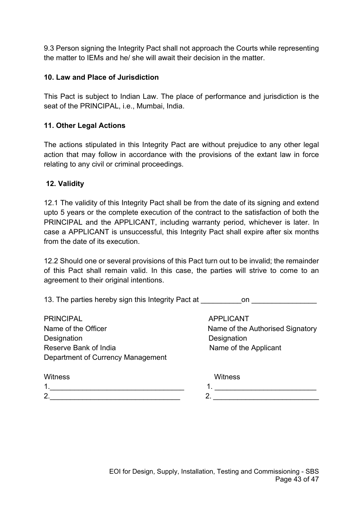9.3 Person signing the Integrity Pact shall not approach the Courts while representing the matter to IEMs and he/ she will await their decision in the matter.

#### **10. Law and Place of Jurisdiction**

This Pact is subject to Indian Law. The place of performance and jurisdiction is the seat of the PRINCIPAL, i.e., Mumbai, India.

#### **11. Other Legal Actions**

The actions stipulated in this Integrity Pact are without prejudice to any other legal action that may follow in accordance with the provisions of the extant law in force relating to any civil or criminal proceedings.

#### **12. Validity**

12.1 The validity of this Integrity Pact shall be from the date of its signing and extend upto 5 years or the complete execution of the contract to the satisfaction of both the PRINCIPAL and the APPLICANT, including warranty period, whichever is later. In case a APPLICANT is unsuccessful, this Integrity Pact shall expire after six months from the date of its execution.

12.2 Should one or several provisions of this Pact turn out to be invalid; the remainder of this Pact shall remain valid. In this case, the parties will strive to come to an agreement to their original intentions.

13. The parties hereby sign this Integrity Pact at **the conduct on** on  $\blacksquare$ 

PRINCIPAL APPLICANT Name of the Officer Name of the Authorised Signatory Designation Designation Reserve Bank of India Name of the Applicant Department of Currency Management

| <b>Witness</b> | Witness |
|----------------|---------|
| ◢<br>. .       |         |
| 2.             | _       |
|                |         |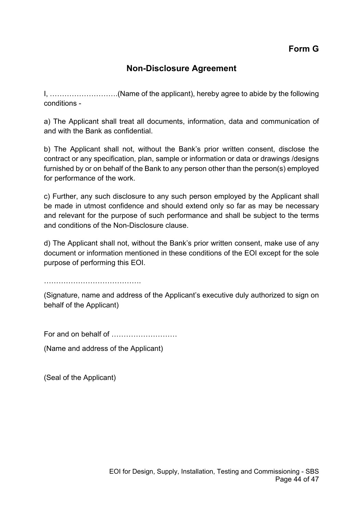**Form G**

## **Non-Disclosure Agreement**

I, ……………………….(Name of the applicant), hereby agree to abide by the following conditions -

a) The Applicant shall treat all documents, information, data and communication of and with the Bank as confidential.

b) The Applicant shall not, without the Bank's prior written consent, disclose the contract or any specification, plan, sample or information or data or drawings /designs furnished by or on behalf of the Bank to any person other than the person(s) employed for performance of the work.

c) Further, any such disclosure to any such person employed by the Applicant shall be made in utmost confidence and should extend only so far as may be necessary and relevant for the purpose of such performance and shall be subject to the terms and conditions of the Non-Disclosure clause.

d) The Applicant shall not, without the Bank's prior written consent, make use of any document or information mentioned in these conditions of the EOI except for the sole purpose of performing this EOI.

………………………………….

(Signature, name and address of the Applicant's executive duly authorized to sign on behalf of the Applicant)

For and on behalf of ………………………

(Name and address of the Applicant)

(Seal of the Applicant)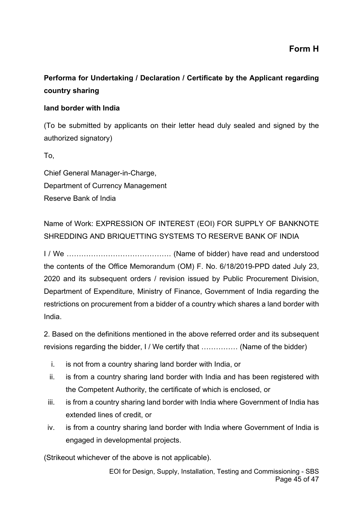**Form H**

## **Performa for Undertaking / Declaration / Certificate by the Applicant regarding country sharing**

#### **land border with India**

(To be submitted by applicants on their letter head duly sealed and signed by the authorized signatory)

To,

Chief General Manager-in-Charge, Department of Currency Management Reserve Bank of India

Name of Work: EXPRESSION OF INTEREST (EOI) FOR SUPPLY OF BANKNOTE SHREDDING AND BRIQUETTING SYSTEMS TO RESERVE BANK OF INDIA

I / We ……………………………………. (Name of bidder) have read and understood the contents of the Office Memorandum (OM) F. No. 6/18/2019-PPD dated July 23, 2020 and its subsequent orders / revision issued by Public Procurement Division, Department of Expenditure, Ministry of Finance, Government of India regarding the restrictions on procurement from a bidder of a country which shares a land border with India.

2. Based on the definitions mentioned in the above referred order and its subsequent revisions regarding the bidder, I / We certify that …………… (Name of the bidder)

- i. is not from a country sharing land border with India, or
- ii. is from a country sharing land border with India and has been registered with the Competent Authority, the certificate of which is enclosed, or
- iii. is from a country sharing land border with India where Government of India has extended lines of credit, or
- iv. is from a country sharing land border with India where Government of India is engaged in developmental projects.

(Strikeout whichever of the above is not applicable).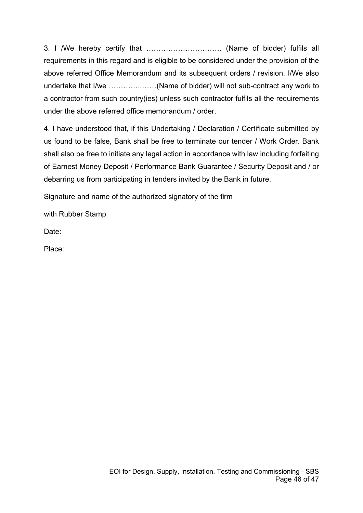3. I /We hereby certify that …………………………. (Name of bidder) fulfils all requirements in this regard and is eligible to be considered under the provision of the above referred Office Memorandum and its subsequent orders / revision. I/We also undertake that I/we …………..……(Name of bidder) will not sub-contract any work to a contractor from such country(ies) unless such contractor fulfils all the requirements under the above referred office memorandum / order

4. I have understood that, if this Undertaking / Declaration / Certificate submitted by us found to be false, Bank shall be free to terminate our tender / Work Order. Bank shall also be free to initiate any legal action in accordance with law including forfeiting of Earnest Money Deposit / Performance Bank Guarantee / Security Deposit and / or debarring us from participating in tenders invited by the Bank in future.

Signature and name of the authorized signatory of the firm

with Rubber Stamp

Date:

Place: